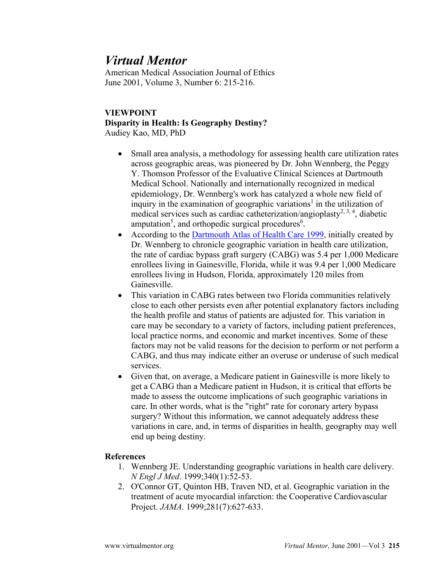## *Virtual Mentor*

American Medical Association Journal of Ethics June 2001, Volume 3, Number 6: 215-216.

## **VIEWPOINT Disparity in Health: Is Geography Destiny?** Audiey Kao, MD, PhD

- Small area analysis, a methodology for assessing health care utilization rates across geographic areas, was pioneered by Dr. John Wennberg, the Peggy Y. Thomson Professor of the Evaluative Clinical Sciences at Dartmouth Medical School. Nationally and internationally recognized in medical epidemiology, Dr. Wennberg's work has catalyzed a whole new field of inquiry in the examination of geographic variations<sup>1</sup> in the utilization of medical services such as cardiac catheterization/angioplasty<sup>2, 3, 4</sup>, diabetic amputation<sup>5</sup>, and orthopedic surgical procedures<sup>6</sup>.
- According to the [Dartmouth Atlas of Health Care 1999,](http://www.dartmouthatlas.org/) initially created by Dr. Wennberg to chronicle geographic variation in health care utilization, the rate of cardiac bypass graft surgery (CABG) was 5.4 per 1,000 Medicare enrollees living in Gainesville, Florida, while it was 9.4 per 1,000 Medicare enrollees living in Hudson, Florida, approximately 120 miles from Gainesville.
- This variation in CABG rates between two Florida communities relatively close to each other persists even after potential explanatory factors including the health profile and status of patients are adjusted for. This variation in care may be secondary to a variety of factors, including patient preferences, local practice norms, and economic and market incentives. Some of these factors may not be valid reasons for the decision to perform or not perform a CABG, and thus may indicate either an overuse or underuse of such medical services.
- Given that, on average, a Medicare patient in Gainesville is more likely to get a CABG than a Medicare patient in Hudson, it is critical that efforts be made to assess the outcome implications of such geographic variations in care. In other words, what is the "right" rate for coronary artery bypass surgery? Without this information, we cannot adequately address these variations in care, and, in terms of disparities in health, geography may well end up being destiny.

## **References**

- 1. Wennberg JE. Understanding geographic variations in health care delivery. *N Engl J Med*. 1999;340(1):52-53.
- 2. O'Connor GT, Quinton HB, Traven ND, et al. Geographic variation in the treatment of acute myocardial infarction: the Cooperative Cardiovascular Project. *JAMA*. 1999;281(7):627-633.